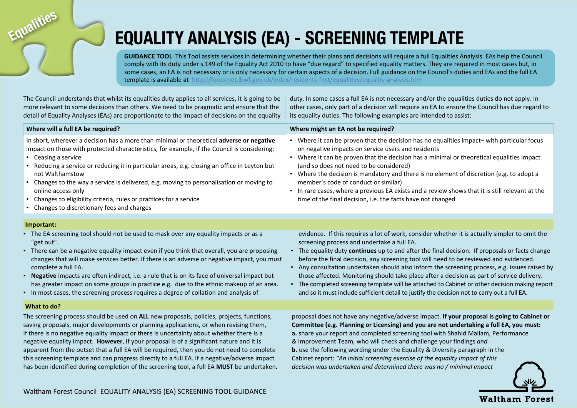## **EQUALITY ANALYSIS (EA) - SCREENING TEMPLATE**

**GUIDANCE TOOL** This Tool assists services in determining whether their plans and decisions will require a full Equalities Analysis. EAs help the Council comply with its duty under s.149 of the Equality Act 2010 to have "due regard" to specified equality matters. They are required in most cases but, in some cases, an EA is not necessary or is only necessary for certain aspects of a decision. Full guidance on the Council's duties and EAs and the full EA template is available at<http://forestnet.lbwf.gov.uk/index/residents-first/equalities/equality-analysis.htm>

The Council understands that whilst its equalities duty applies to all services, it is going to be more relevant to some decisions than others. We need to be pragmatic and ensure that the detail of Equality Analyses (EAs) are proportionate to the impact of decisions on the equality

**Ualities** 

duty. In some cases a full EA is not necessary and/or the equalities duties do not apply. In other cases, only part of a decision will require an EA to ensure the Council has due regard to its equality duties. The following examples are intended to assist:

| Where will a full EA be required?                                                                                                                                                                                                                                                                                                                                                                                                                                                                                                                                                                             | Where might an EA not be required?                                                                                                                                                                                                                                                                                                                                                                                                                                                                                                                                                                                                                                                                                                      |
|---------------------------------------------------------------------------------------------------------------------------------------------------------------------------------------------------------------------------------------------------------------------------------------------------------------------------------------------------------------------------------------------------------------------------------------------------------------------------------------------------------------------------------------------------------------------------------------------------------------|-----------------------------------------------------------------------------------------------------------------------------------------------------------------------------------------------------------------------------------------------------------------------------------------------------------------------------------------------------------------------------------------------------------------------------------------------------------------------------------------------------------------------------------------------------------------------------------------------------------------------------------------------------------------------------------------------------------------------------------------|
| In short, wherever a decision has a more than minimal or theoretical adverse or negative<br>impact on those with protected characteristics, for example, if the Council is considering:<br>• Ceasing a service<br>• Reducing a service or reducing it in particular areas, e.g. closing an office in Leyton but<br>not Walthamstow<br>• Changes to the way a service is delivered, e.g. moving to personalisation or moving to<br>online access only<br>• Changes to eligibility criteria, rules or practices for a service<br>• Changes to discretionary fees and charges                                    | Where it can be proven that the decision has no equalities impact-with particular focus<br>on negative impacts on service users and residents<br>Where it can be proven that the decision has a minimal or theoretical equalities impact<br>(and so does not need to be considered)<br>• Where the decision is mandatory and there is no element of discretion (e.g. to adopt a<br>member's code of conduct or similar)<br>• In rare cases, where a previous EA exists and a review shows that it is still relevant at the<br>time of the final decision, i.e. the facts have not changed                                                                                                                                               |
| Important:                                                                                                                                                                                                                                                                                                                                                                                                                                                                                                                                                                                                    |                                                                                                                                                                                                                                                                                                                                                                                                                                                                                                                                                                                                                                                                                                                                         |
| • The EA screening tool should not be used to mask over any equality impacts or as a<br>"get out".<br>• There can be a negative equality impact even if you think that overall, you are proposing<br>changes that will make services better. If there is an adverse or negative impact, you must<br>complete a full EA.<br>. Negative impacts are often indirect, i.e. a rule that is on its face of universal impact but<br>has greater impact on some groups in practice e.g. due to the ethnic makeup of an area.<br>• In most cases, the screening process requires a degree of collation and analysis of | evidence. If this requires a lot of work, consider whether it is actually simpler to omit the<br>screening process and undertake a full EA.<br>• The equality duty continues up to and after the final decision. If proposals or facts change<br>before the final decision, any screening tool will need to be reviewed and evidenced.<br>• Any consultation undertaken should also inform the screening process, e.g. issues raised by<br>those affected. Monitoring should take place after a decision as part of service delivery.<br>• The completed screening template will be attached to Cabinet or other decision making report<br>and so it must include sufficient detail to justify the decision not to carry out a full EA. |
| What to do?                                                                                                                                                                                                                                                                                                                                                                                                                                                                                                                                                                                                   |                                                                                                                                                                                                                                                                                                                                                                                                                                                                                                                                                                                                                                                                                                                                         |
| The screening process should be used on ALL new proposals, policies, projects, functions,<br>saving proposals, major developments or planning applications, or when revising them,<br>if there is no negative equality impact or there is uncertainty about whether there is a<br>negative equality impact. However, If your proposal is of a significant nature and it is<br>apparent from the outset that a full EA will be required, then you do not need to complete                                                                                                                                      | proposal does not have any negative/adverse impact. If your proposal is going to Cabinet or<br>Committee (e.g. Planning or Licensing) and you are not undertaking a full EA, you must:<br>a. share your report and completed screening tool with Shahid Mallam, Performance<br>& Improvement Team, who will check and challenge your findings and<br><b>b.</b> use the following wording under the Equality & Diversity paragraph in the                                                                                                                                                                                                                                                                                                |

apparent from the outset that a full EA will be required, then you do not need to complete this screening template and can progress directly to a full EA. If a negative/adverse impact has been identified during completion of the screening tool, a full EA **MUST** be undertaken**.** 

**b.** use the following wording under the Equality & Diversity paragraph in the Cabinet report: *"An initial screening exercise of the equality impact of this decision was undertaken and determined there was no / minimal impact* 

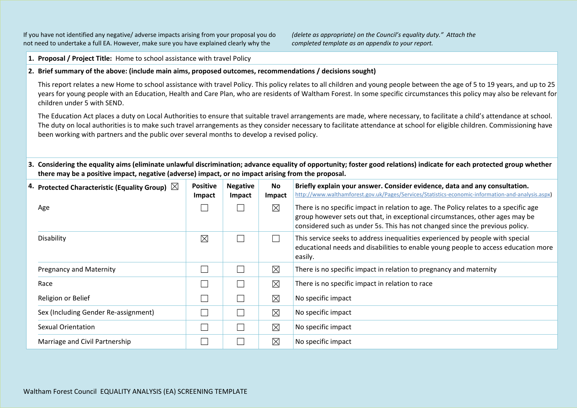If you have not identified any negative/ adverse impacts arising from your proposal you do not need to undertake a full EA. However, make sure you have explained clearly why the

*(delete as appropriate) on the Council's equality duty." Attach the completed template as an appendix to your report.*

**1. Proposal / Project Title:** Home to school assistance with travel Policy

## **2. Brief summary of the above: (include main aims, proposed outcomes, recommendations / decisions sought)**

This report relates a new Home to school assistance with travel Policy. This policy relates to all children and young people between the age of 5 to 19 years, and up to 25 years for young people with an Education, Health and Care Plan, who are residents of Waltham Forest. In some specific circumstances this policy may also be relevant for children under 5 with SEND.

The Education Act places a duty on Local Authorities to ensure that suitable travel arrangements are made, where necessary, to facilitate a child's attendance at school. The duty on local authorities is to make such travel arrangements as they consider necessary to facilitate attendance at school for eligible children. Commissioning have been working with partners and the public over several months to develop a revised policy.

## **3. Considering the equality aims (eliminate unlawful discrimination; advance equality of opportunity; foster good relations) indicate for each protected group whether there may be a positive impact, negative (adverse) impact, or no impact arising from the proposal.**

| 4. Protected Characteristic (Equality Group) $\,\boxtimes\,$ | <b>Positive</b><br><b>Impact</b> | <b>Negative</b><br><b>Impact</b> | <b>No</b><br><b>Impact</b> | Briefly explain your answer. Consider evidence, data and any consultation.<br>http://www.walthamforest.gov.uk/Pages/Services/Statistics-economic-information-and-analysis.aspx)                                                                      |
|--------------------------------------------------------------|----------------------------------|----------------------------------|----------------------------|------------------------------------------------------------------------------------------------------------------------------------------------------------------------------------------------------------------------------------------------------|
| Age                                                          |                                  |                                  | $\boxtimes$                | There is no specific impact in relation to age. The Policy relates to a specific age<br>group however sets out that, in exceptional circumstances, other ages may be<br>considered such as under 5s. This has not changed since the previous policy. |
| Disability                                                   | $\times$                         |                                  | $\Box$                     | This service seeks to address inequalities experienced by people with special<br>educational needs and disabilities to enable young people to access education more<br>easily.                                                                       |
| <b>Pregnancy and Maternity</b>                               |                                  |                                  | $\boxtimes$                | There is no specific impact in relation to pregnancy and maternity                                                                                                                                                                                   |
| Race                                                         |                                  |                                  | $\times$                   | There is no specific impact in relation to race                                                                                                                                                                                                      |
| Religion or Belief                                           |                                  |                                  | $\times$                   | No specific impact                                                                                                                                                                                                                                   |
| Sex (Including Gender Re-assignment)                         |                                  |                                  | $\times$                   | No specific impact                                                                                                                                                                                                                                   |
| Sexual Orientation                                           |                                  |                                  | $\times$                   | No specific impact                                                                                                                                                                                                                                   |
| Marriage and Civil Partnership                               |                                  |                                  | $\boxtimes$                | No specific impact                                                                                                                                                                                                                                   |